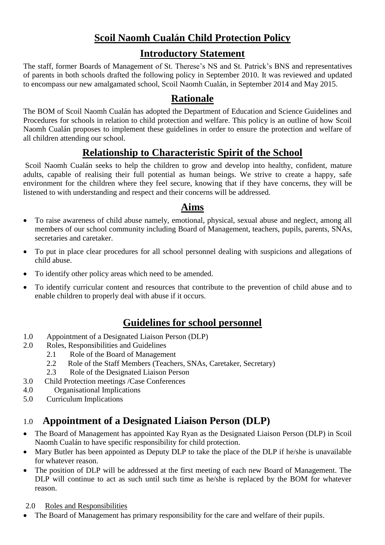# **Scoil Naomh Cualán Child Protection Policy**

### **Introductory Statement**

The staff, former Boards of Management of St. Therese's NS and St. Patrick's BNS and representatives of parents in both schools drafted the following policy in September 2010. It was reviewed and updated to encompass our new amalgamated school, Scoil Naomh Cualán, in September 2014 and May 2015.

## **Rationale**

The BOM of Scoil Naomh Cualán has adopted the Department of Education and Science Guidelines and Procedures for schools in relation to child protection and welfare. This policy is an outline of how Scoil Naomh Cualán proposes to implement these guidelines in order to ensure the protection and welfare of all children attending our school.

## **Relationship to Characteristic Spirit of the School**

Scoil Naomh Cualán seeks to help the children to grow and develop into healthy, confident, mature adults, capable of realising their full potential as human beings. We strive to create a happy, safe environment for the children where they feel secure, knowing that if they have concerns, they will be listened to with understanding and respect and their concerns will be addressed.

### **Aims**

- To raise awareness of child abuse namely, emotional, physical, sexual abuse and neglect, among all members of our school community including Board of Management, teachers, pupils, parents, SNAs, secretaries and caretaker.
- To put in place clear procedures for all school personnel dealing with suspicions and allegations of child abuse.
- To identify other policy areas which need to be amended.
- To identify curricular content and resources that contribute to the prevention of child abuse and to enable children to properly deal with abuse if it occurs.

# **Guidelines for school personnel**

- 1.0 Appointment of a Designated Liaison Person (DLP)
- 2.0 Roles, Responsibilities and Guidelines
	- 2.1 Role of the Board of Management
	- 2.2 Role of the Staff Members (Teachers, SNAs, Caretaker, Secretary)
	- 2.3 Role of the Designated Liaison Person
- 3.0 Child Protection meetings /Case Conferences
- 4.0 Organisational Implications
- 5.0 Curriculum Implications

# 1.0 **Appointment of a Designated Liaison Person (DLP)**

- The Board of Management has appointed Kay Ryan as the Designated Liaison Person (DLP) in Scoil Naomh Cualán to have specific responsibility for child protection.
- Mary Butler has been appointed as Deputy DLP to take the place of the DLP if he/she is unavailable for whatever reason.
- The position of DLP will be addressed at the first meeting of each new Board of Management. The DLP will continue to act as such until such time as he/she is replaced by the BOM for whatever reason.
- 2.0 Roles and Responsibilities
- The Board of Management has primary responsibility for the care and welfare of their pupils.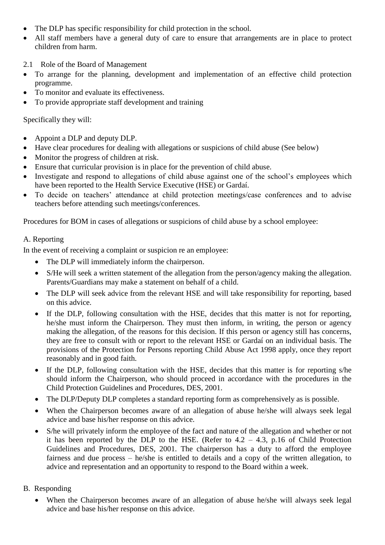- The DLP has specific responsibility for child protection in the school.
- All staff members have a general duty of care to ensure that arrangements are in place to protect children from harm.
- 2.1 Role of the Board of Management
- To arrange for the planning, development and implementation of an effective child protection programme.
- To monitor and evaluate its effectiveness.
- To provide appropriate staff development and training

Specifically they will:

- Appoint a DLP and deputy DLP.
- Have clear procedures for dealing with allegations or suspicions of child abuse (See below)
- Monitor the progress of children at risk.
- Ensure that curricular provision is in place for the prevention of child abuse.
- Investigate and respond to allegations of child abuse against one of the school's employees which have been reported to the Health Service Executive (HSE) or Gardaí.
- To decide on teachers' attendance at child protection meetings/case conferences and to advise teachers before attending such meetings/conferences.

Procedures for BOM in cases of allegations or suspicions of child abuse by a school employee:

### A. Reporting

In the event of receiving a complaint or suspicion re an employee:

- The DLP will immediately inform the chairperson.
- S/He will seek a written statement of the allegation from the person/agency making the allegation. Parents/Guardians may make a statement on behalf of a child.
- The DLP will seek advice from the relevant HSE and will take responsibility for reporting, based on this advice.
- If the DLP, following consultation with the HSE, decides that this matter is not for reporting, he/she must inform the Chairperson. They must then inform, in writing, the person or agency making the allegation, of the reasons for this decision. If this person or agency still has concerns, they are free to consult with or report to the relevant HSE or Gardaí on an individual basis. The provisions of the Protection for Persons reporting Child Abuse Act 1998 apply, once they report reasonably and in good faith.
- If the DLP, following consultation with the HSE, decides that this matter is for reporting s/he should inform the Chairperson, who should proceed in accordance with the procedures in the Child Protection Guidelines and Procedures, DES, 2001.
- The DLP/Deputy DLP completes a standard reporting form as comprehensively as is possible.
- When the Chairperson becomes aware of an allegation of abuse he/she will always seek legal advice and base his/her response on this advice.
- S/he will privately inform the employee of the fact and nature of the allegation and whether or not it has been reported by the DLP to the HSE. (Refer to  $4.2 - 4.3$ , p.16 of Child Protection Guidelines and Procedures, DES, 2001. The chairperson has a duty to afford the employee fairness and due process – he/she is entitled to details and a copy of the written allegation, to advice and representation and an opportunity to respond to the Board within a week.

### B. Responding

 When the Chairperson becomes aware of an allegation of abuse he/she will always seek legal advice and base his/her response on this advice.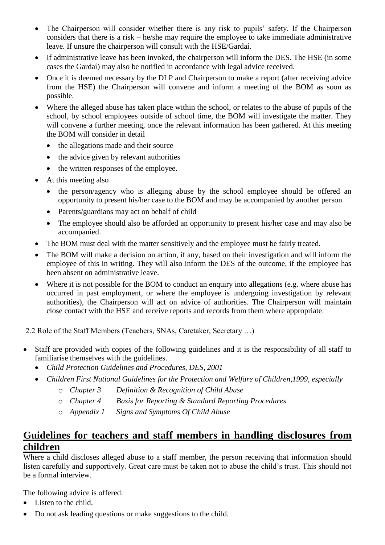- The Chairperson will consider whether there is any risk to pupils' safety. If the Chairperson considers that there is a risk – he/she may require the employee to take immediate administrative leave. If unsure the chairperson will consult with the HSE/Gardaí.
- If administrative leave has been invoked, the chairperson will inform the DES. The HSE (in some cases the Gardaí) may also be notified in accordance with legal advice received.
- Once it is deemed necessary by the DLP and Chairperson to make a report (after receiving advice from the HSE) the Chairperson will convene and inform a meeting of the BOM as soon as possible.
- Where the alleged abuse has taken place within the school, or relates to the abuse of pupils of the school, by school employees outside of school time, the BOM will investigate the matter. They will convene a further meeting, once the relevant information has been gathered. At this meeting the BOM will consider in detail
	- the allegations made and their source
	- the advice given by relevant authorities
	- the written responses of the employee.
- At this meeting also
	- the person/agency who is alleging abuse by the school employee should be offered an opportunity to present his/her case to the BOM and may be accompanied by another person
	- Parents/guardians may act on behalf of child
	- The employee should also be afforded an opportunity to present his/her case and may also be accompanied.
- The BOM must deal with the matter sensitively and the employee must be fairly treated.
- The BOM will make a decision on action, if any, based on their investigation and will inform the employee of this in writing. They will also inform the DES of the outcome, if the employee has been absent on administrative leave.
- Where it is not possible for the BOM to conduct an enquiry into allegations (e.g. where abuse has occurred in past employment, or where the employee is undergoing investigation by relevant authorities), the Chairperson will act on advice of authorities. The Chairperson will maintain close contact with the HSE and receive reports and records from them where appropriate.

2.2 Role of the Staff Members (Teachers, SNAs, Caretaker, Secretary …)

- Staff are provided with copies of the following guidelines and it is the responsibility of all staff to familiarise themselves with the guidelines.
	- *Child Protection Guidelines and Procedures, DES, 2001*
	- *Children First National Guidelines for the Protection and Welfare of Children,1999, especially*
		- o *Chapter 3 Definition & Recognition of Child Abuse*
		- o *Chapter 4 Basis for Reporting & Standard Reporting Procedures*
		- o *Appendix 1 Signs and Symptoms Of Child Abuse*

### **Guidelines for teachers and staff members in handling disclosures from children**

Where a child discloses alleged abuse to a staff member, the person receiving that information should listen carefully and supportively. Great care must be taken not to abuse the child's trust. This should not be a formal interview.

The following advice is offered:

- Listen to the child.
- Do not ask leading questions or make suggestions to the child.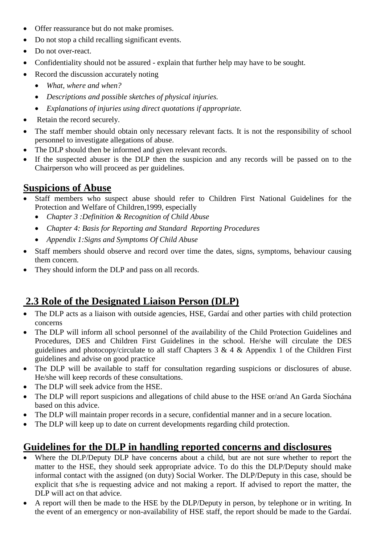- Offer reassurance but do not make promises.
- Do not stop a child recalling significant events.
- Do not over-react.
- Confidentiality should not be assured explain that further help may have to be sought.
- Record the discussion accurately noting
	- *What, where and when?*
	- *Descriptions and possible sketches of physical injuries.*
	- *Explanations of injuries using direct quotations if appropriate.*
- Retain the record securely.
- The staff member should obtain only necessary relevant facts. It is not the responsibility of school personnel to investigate allegations of abuse.
- The DLP should then be informed and given relevant records.
- If the suspected abuser is the DLP then the suspicion and any records will be passed on to the Chairperson who will proceed as per guidelines.

# **Suspicions of Abuse**

- Staff members who suspect abuse should refer to Children First National Guidelines for the Protection and Welfare of Children,1999, especially
	- *Chapter 3 :Definition & Recognition of Child Abuse*
	- *Chapter 4: Basis for Reporting and Standard Reporting Procedures*
	- *Appendix 1:Signs and Symptoms Of Child Abuse*
- Staff members should observe and record over time the dates, signs, symptoms, behaviour causing them concern.
- They should inform the DLP and pass on all records.

# **2.3 Role of the Designated Liaison Person (DLP)**

- The DLP acts as a liaison with outside agencies, HSE, Gardaí and other parties with child protection concerns
- The DLP will inform all school personnel of the availability of the Child Protection Guidelines and Procedures, DES and Children First Guidelines in the school. He/she will circulate the DES guidelines and photocopy/circulate to all staff Chapters  $3 \& 4 \&$  Appendix 1 of the Children First guidelines and advise on good practice
- The DLP will be available to staff for consultation regarding suspicions or disclosures of abuse. He/she will keep records of these consultations.
- The DLP will seek advice from the HSE.
- The DLP will report suspicions and allegations of child abuse to the HSE or/and An Garda Síochána based on this advice.
- The DLP will maintain proper records in a secure, confidential manner and in a secure location.
- The DLP will keep up to date on current developments regarding child protection.

# **Guidelines for the DLP in handling reported concerns and disclosures**

- Where the DLP/Deputy DLP have concerns about a child, but are not sure whether to report the matter to the HSE, they should seek appropriate advice. To do this the DLP/Deputy should make informal contact with the assigned (on duty) Social Worker. The DLP/Deputy in this case, should be explicit that s/he is requesting advice and not making a report. If advised to report the matter, the DLP will act on that advice.
- A report will then be made to the HSE by the DLP/Deputy in person, by telephone or in writing. In the event of an emergency or non-availability of HSE staff, the report should be made to the Gardaí.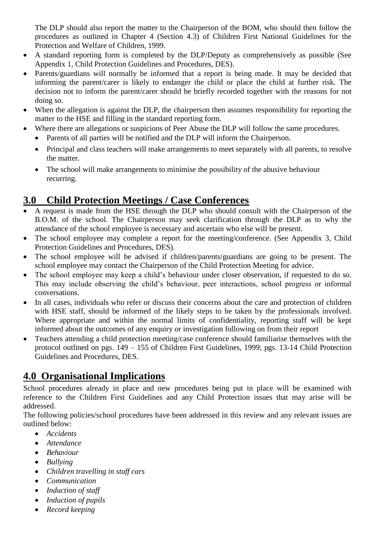The DLP should also report the matter to the Chairperson of the BOM, who should then follow the procedures as outlined in Chapter 4 (Section 4.3) of Children First National Guidelines for the Protection and Welfare of Children, 1999.

- A standard reporting form is completed by the DLP/Deputy as comprehensively as possible (See Appendix 1, Child Protection Guidelines and Procedures, DES).
- Parents/guardians will normally be informed that a report is being made. It may be decided that informing the parent/carer is likely to endanger the child or place the child at further risk. The decision not to inform the parent/carer should be briefly recorded together with the reasons for not doing so.
- When the allegation is against the DLP, the chairperson then assumes responsibility for reporting the matter to the HSE and filling in the standard reporting form.
- Where there are allegations or suspicions of Peer Abuse the DLP will follow the same procedures.
	- Parents of all parties will be notified and the DLP will inform the Chairperson.
	- Principal and class teachers will make arrangements to meet separately with all parents, to resolve the matter.
	- The school will make arrangements to minimise the possibility of the abusive behaviour recurring.

# **3.0 Child Protection Meetings / Case Conferences**

- A request is made from the HSE through the DLP who should consult with the Chairperson of the B.O.M. of the school. The Chairperson may seek clarification through the DLP as to why the attendance of the school employee is necessary and ascertain who else will be present.
- The school employee may complete a report for the meeting/conference. (See Appendix 3, Child Protection Guidelines and Procedures, DES).
- The school employee will be advised if children/parents/guardians are going to be present. The school employee may contact the Chairperson of the Child Protection Meeting for advice.
- The school employee may keep a child's behaviour under closer observation, if requested to do so. This may include observing the child's behaviour, peer interactions, school progress or informal conversations.
- In all cases, individuals who refer or discuss their concerns about the care and protection of children with HSE staff, should be informed of the likely steps to be taken by the professionals involved. Where appropriate and within the normal limits of confidentiality, reporting staff will be kept informed about the outcomes of any enquiry or investigation following on from their report
- Teachers attending a child protection meeting/case conference should familiarise themselves with the protocol outlined on pgs. 149 – 155 of Children First Guidelines, 1999; pgs. 13-14 Child Protection Guidelines and Procedures, DES.

# **4.0 Organisational Implications**

School procedures already in place and new procedures being put in place will be examined with reference to the Children First Guidelines and any Child Protection issues that may arise will be addressed.

The following policies/school procedures have been addressed in this review and any relevant issues are outlined below:

- *Accidents*
- *Attendance*
- *Behaviour*
- *Bullying*
- *Children travelling in staff cars*
- *Communication*
- *Induction of staff*
- *Induction of pupils*
- *Record keeping*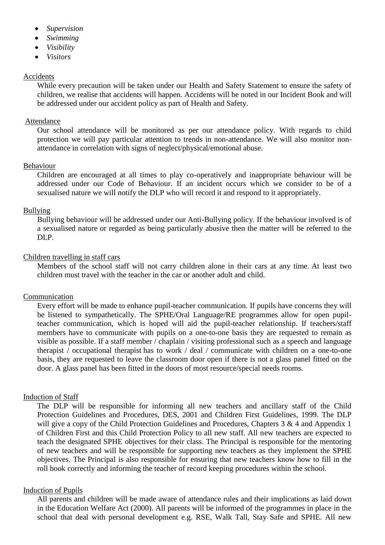- *Supervision*
- *Swimming*
- *Visibility*
- *Visitors*

#### Accidents

While every precaution will be taken under our Health and Safety Statement to ensure the safety of children, we realise that accidents will happen. Accidents will be noted in our Incident Book and will be addressed under our accident policy as part of Health and Safety.

#### Attendance

Our school attendance will be monitored as per our attendance policy. With regards to child protection we will pay particular attention to trends in non-attendance. We will also monitor nonattendance in correlation with signs of neglect/physical/emotional abuse.

#### Behaviour

Children are encouraged at all times to play co-operatively and inappropriate behaviour will be addressed under our Code of Behaviour. If an incident occurs which we consider to be of a sexualised nature we will notify the DLP who will record it and respond to it appropriately.

#### Bullying

Bullying behaviour will be addressed under our Anti-Bullying policy. If the behaviour involved is of a sexualised nature or regarded as being particularly abusive then the matter will be referred to the DLP.

#### Children travelling in staff cars

Members of the school staff will not carry children alone in their cars at any time. At least two children must travel with the teacher in the car or another adult and child.

#### Communication

Every effort will be made to enhance pupil-teacher communication. If pupils have concerns they will be listened to sympathetically. The SPHE/Oral Language/RE programmes allow for open pupilteacher communication, which is hoped will aid the pupil-teacher relationship. If teachers/staff members have to communicate with pupils on a one-to-one basis they are requested to remain as visible as possible. If a staff member / chaplain / visiting professional such as a speech and language therapist / occupational therapist has to work / deal / communicate with children on a one-to-one basis, they are requested to leave the classroom door open if there is not a glass panel fitted on the door. A glass panel has been fitted in the doors of most resource/special needs rooms.

#### Induction of Staff

The DLP will be responsible for informing all new teachers and ancillary staff of the Child Protection Guidelines and Procedures, DES, 2001 and Children First Guidelines, 1999. The DLP will give a copy of the Child Protection Guidelines and Procedures, Chapters 3 & 4 and Appendix 1 of Children First and this Child Protection Policy to all new staff. All new teachers are expected to teach the designated SPHE objectives for their class. The Principal is responsible for the mentoring of new teachers and will be responsible for supporting new teachers as they implement the SPHE objectives. The Principal is also responsible for ensuring that new teachers know how to fill in the roll book correctly and informing the teacher of record keeping procedures within the school.

#### Induction of Pupils

All parents and children will be made aware of attendance rules and their implications as laid down in the Education Welfare Act (2000). All parents will be informed of the programmes in place in the school that deal with personal development e.g. RSE, Walk Tall, Stay Safe and SPHE. All new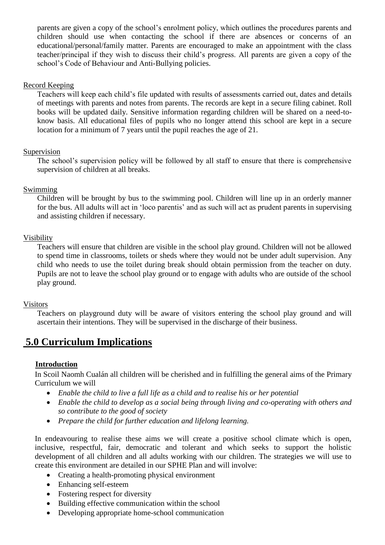parents are given a copy of the school's enrolment policy, which outlines the procedures parents and children should use when contacting the school if there are absences or concerns of an educational/personal/family matter. Parents are encouraged to make an appointment with the class teacher/principal if they wish to discuss their child's progress. All parents are given a copy of the school's Code of Behaviour and Anti-Bullying policies.

#### Record Keeping

Teachers will keep each child's file updated with results of assessments carried out, dates and details of meetings with parents and notes from parents. The records are kept in a secure filing cabinet. Roll books will be updated daily. Sensitive information regarding children will be shared on a need-toknow basis. All educational files of pupils who no longer attend this school are kept in a secure location for a minimum of 7 years until the pupil reaches the age of 21.

#### Supervision

The school's supervision policy will be followed by all staff to ensure that there is comprehensive supervision of children at all breaks.

#### Swimming

Children will be brought by bus to the swimming pool. Children will line up in an orderly manner for the bus. All adults will act in 'loco parentis' and as such will act as prudent parents in supervising and assisting children if necessary.

#### Visibility

Teachers will ensure that children are visible in the school play ground. Children will not be allowed to spend time in classrooms, toilets or sheds where they would not be under adult supervision. Any child who needs to use the toilet during break should obtain permission from the teacher on duty. Pupils are not to leave the school play ground or to engage with adults who are outside of the school play ground.

#### Visitors

Teachers on playground duty will be aware of visitors entering the school play ground and will ascertain their intentions. They will be supervised in the discharge of their business.

### **5.0 Curriculum Implications**

#### **Introduction**

In Scoil Naomh Cualán all children will be cherished and in fulfilling the general aims of the Primary Curriculum we will

- *Enable the child to live a full life as a child and to realise his or her potential*
- *Enable the child to develop as a social being through living and co-operating with others and so contribute to the good of society*
- *Prepare the child for further education and lifelong learning.*

In endeavouring to realise these aims we will create a positive school climate which is open, inclusive, respectful, fair, democratic and tolerant and which seeks to support the holistic development of all children and all adults working with our children. The strategies we will use to create this environment are detailed in our SPHE Plan and will involve:

- Creating a health-promoting physical environment
- Enhancing self-esteem
- Fostering respect for diversity
- Building effective communication within the school
- Developing appropriate home-school communication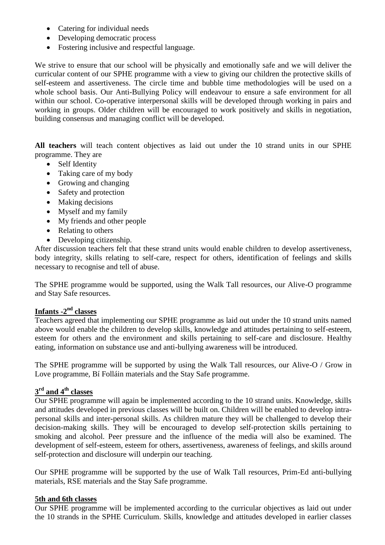- Catering for individual needs
- Developing democratic process
- Fostering inclusive and respectful language.

We strive to ensure that our school will be physically and emotionally safe and we will deliver the curricular content of our SPHE programme with a view to giving our children the protective skills of self-esteem and assertiveness. The circle time and bubble time methodologies will be used on a whole school basis. Our Anti-Bullying Policy will endeavour to ensure a safe environment for all within our school. Co-operative interpersonal skills will be developed through working in pairs and working in groups. Older children will be encouraged to work positively and skills in negotiation, building consensus and managing conflict will be developed.

**All teachers** will teach content objectives as laid out under the 10 strand units in our SPHE programme. They are

- Self Identity
- Taking care of my body
- Growing and changing
- Safety and protection
- Making decisions
- Myself and my family
- My friends and other people
- Relating to others
- Developing citizenship.

After discussion teachers felt that these strand units would enable children to develop assertiveness, body integrity, skills relating to self-care, respect for others, identification of feelings and skills necessary to recognise and tell of abuse.

The SPHE programme would be supported, using the Walk Tall resources, our Alive-O programme and Stay Safe resources.

### **Infants -2<sup>nd</sup> classes**

Teachers agreed that implementing our SPHE programme as laid out under the 10 strand units named above would enable the children to develop skills, knowledge and attitudes pertaining to self-esteem, esteem for others and the environment and skills pertaining to self-care and disclosure. Healthy eating, information on substance use and anti-bullying awareness will be introduced.

The SPHE programme will be supported by using the Walk Tall resources, our Alive-O / Grow in Love programme, Bí Folláin materials and the Stay Safe programme.

### **3 rd and 4th classes**

Our SPHE programme will again be implemented according to the 10 strand units. Knowledge, skills and attitudes developed in previous classes will be built on. Children will be enabled to develop intrapersonal skills and inter-personal skills. As children mature they will be challenged to develop their decision-making skills. They will be encouraged to develop self-protection skills pertaining to smoking and alcohol. Peer pressure and the influence of the media will also be examined. The development of self-esteem, esteem for others, assertiveness, awareness of feelings, and skills around self-protection and disclosure will underpin our teaching.

Our SPHE programme will be supported by the use of Walk Tall resources, Prim-Ed anti-bullying materials, RSE materials and the Stay Safe programme.

#### **5th and 6th classes**

Our SPHE programme will be implemented according to the curricular objectives as laid out under the 10 strands in the SPHE Curriculum. Skills, knowledge and attitudes developed in earlier classes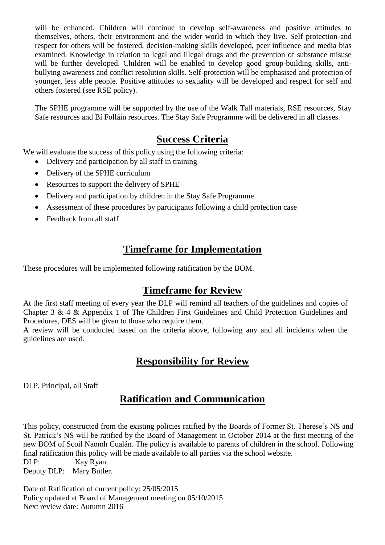will be enhanced. Children will continue to develop self-awareness and positive attitudes to themselves, others, their environment and the wider world in which they live. Self protection and respect for others will be fostered, decision-making skills developed, peer influence and media bias examined. Knowledge in relation to legal and illegal drugs and the prevention of substance misuse will be further developed. Children will be enabled to develop good group-building skills, antibullying awareness and conflict resolution skills. Self-protection will be emphasised and protection of younger, less able people. Positive attitudes to sexuality will be developed and respect for self and others fostered (see RSE policy).

The SPHE programme will be supported by the use of the Walk Tall materials, RSE resources, Stay Safe resources and Bí Folláin resources. The Stay Safe Programme will be delivered in all classes.

### **Success Criteria**

We will evaluate the success of this policy using the following criteria:

- Delivery and participation by all staff in training
- Delivery of the SPHE curriculum
- Resources to support the delivery of SPHE
- Delivery and participation by children in the Stay Safe Programme
- Assessment of these procedures by participants following a child protection case
- Feedback from all staff

# **Timeframe for Implementation**

These procedures will be implemented following ratification by the BOM.

### **Timeframe for Review**

At the first staff meeting of every year the DLP will remind all teachers of the guidelines and copies of Chapter 3 & 4 & Appendix 1 of The Children First Guidelines and Child Protection Guidelines and Procedures, DES will be given to those who require them.

A review will be conducted based on the criteria above, following any and all incidents when the guidelines are used.

# **Responsibility for Review**

DLP, Principal, all Staff

# **Ratification and Communication**

This policy, constructed from the existing policies ratified by the Boards of Former St. Therese's NS and St. Patrick's NS will be ratified by the Board of Management in October 2014 at the first meeting of the new BOM of Scoil Naomh Cualán. The policy is available to parents of children in the school. Following final ratification this policy will be made available to all parties via the school website.

DLP: Kay Ryan. Deputy DLP: Mary Butler.

Date of Ratification of current policy: 25/05/2015 Policy updated at Board of Management meeting on 05/10/2015 Next review date: Autumn 2016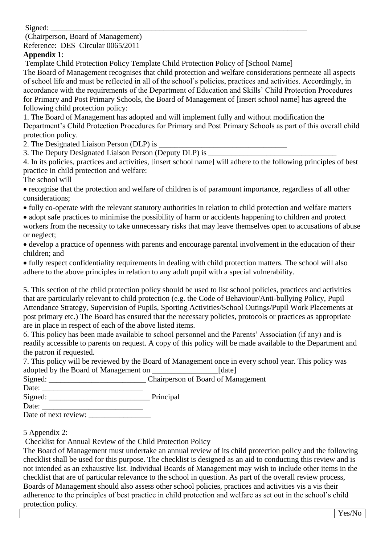$Sijened:$ 

(Chairperson, Board of Management) Reference: DES Circular 0065/2011

### **Appendix 1**:

Template Child Protection Policy Template Child Protection Policy of [School Name]

The Board of Management recognises that child protection and welfare considerations permeate all aspects of school life and must be reflected in all of the school's policies, practices and activities. Accordingly, in accordance with the requirements of the Department of Education and Skills' Child Protection Procedures for Primary and Post Primary Schools, the Board of Management of [insert school name] has agreed the following child protection policy:

1. The Board of Management has adopted and will implement fully and without modification the Department's Child Protection Procedures for Primary and Post Primary Schools as part of this overall child protection policy.

2. The Designated Liaison Person (DLP) is  $\overline{\phantom{a}}$ 

3. The Deputy Designated Liaison Person (Deputy DLP) is

4. In its policies, practices and activities, [insert school name] will adhere to the following principles of best practice in child protection and welfare:

The school will

 recognise that the protection and welfare of children is of paramount importance, regardless of all other considerations;

fully co-operate with the relevant statutory authorities in relation to child protection and welfare matters

• adopt safe practices to minimise the possibility of harm or accidents happening to children and protect workers from the necessity to take unnecessary risks that may leave themselves open to accusations of abuse or neglect;

 develop a practice of openness with parents and encourage parental involvement in the education of their children; and

 fully respect confidentiality requirements in dealing with child protection matters. The school will also adhere to the above principles in relation to any adult pupil with a special vulnerability.

5. This section of the child protection policy should be used to list school policies, practices and activities that are particularly relevant to child protection (e.g. the Code of Behaviour/Anti-bullying Policy, Pupil Attendance Strategy, Supervision of Pupils, Sporting Activities/School Outings/Pupil Work Placements at post primary etc.) The Board has ensured that the necessary policies, protocols or practices as appropriate are in place in respect of each of the above listed items.

6. This policy has been made available to school personnel and the Parents' Association (if any) and is readily accessible to parents on request. A copy of this policy will be made available to the Department and the patron if requested.

7. This policy will be reviewed by the Board of Management once in every school year. This policy was adopted by the Board of Management on [date]

| Signed: |  | Chairperson of Board of Management |
|---------|--|------------------------------------|
|         |  |                                    |

Date: \_\_\_\_\_\_\_\_\_\_\_\_\_\_\_\_\_\_\_\_\_\_\_\_\_\_ Signed: Principal

Date: \_\_\_\_\_\_\_\_\_\_\_\_\_\_\_\_\_\_\_\_\_\_\_\_\_\_ Date of next review: \_\_\_\_\_\_\_\_\_\_\_\_\_\_\_\_

5 Appendix 2:

Checklist for Annual Review of the Child Protection Policy

The Board of Management must undertake an annual review of its child protection policy and the following checklist shall be used for this purpose. The checklist is designed as an aid to conducting this review and is not intended as an exhaustive list. Individual Boards of Management may wish to include other items in the checklist that are of particular relevance to the school in question. As part of the overall review process, Boards of Management should also assess other school policies, practices and activities vis a vis their adherence to the principles of best practice in child protection and welfare as set out in the school's child protection policy.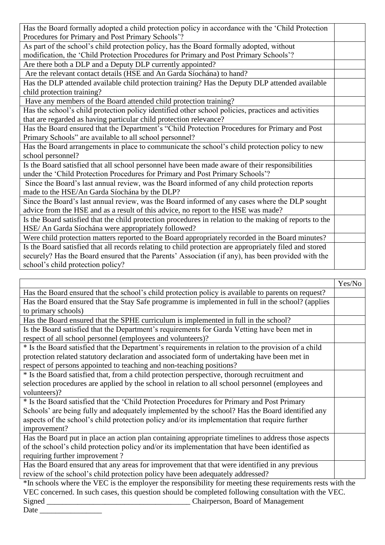| Has the Board formally adopted a child protection policy in accordance with the 'Child Protection'      |  |  |  |
|---------------------------------------------------------------------------------------------------------|--|--|--|
| Procedures for Primary and Post Primary Schools'?                                                       |  |  |  |
| As part of the school's child protection policy, has the Board formally adopted, without                |  |  |  |
| modification, the 'Child Protection Procedures for Primary and Post Primary Schools'?                   |  |  |  |
| Are there both a DLP and a Deputy DLP currently appointed?                                              |  |  |  |
| Are the relevant contact details (HSE and An Garda Síochána) to hand?                                   |  |  |  |
| Has the DLP attended available child protection training? Has the Deputy DLP attended available         |  |  |  |
| child protection training?                                                                              |  |  |  |
| Have any members of the Board attended child protection training?                                       |  |  |  |
| Has the school's child protection policy identified other school policies, practices and activities     |  |  |  |
| that are regarded as having particular child protection relevance?                                      |  |  |  |
| Has the Board ensured that the Department's "Child Protection Procedures for Primary and Post           |  |  |  |
| Primary Schools" are available to all school personnel?                                                 |  |  |  |
| Has the Board arrangements in place to communicate the school's child protection policy to new          |  |  |  |
| school personnel?                                                                                       |  |  |  |
| Is the Board satisfied that all school personnel have been made aware of their responsibilities         |  |  |  |
| under the 'Child Protection Procedures for Primary and Post Primary Schools'?                           |  |  |  |
| Since the Board's last annual review, was the Board informed of any child protection reports            |  |  |  |
| made to the HSE/An Garda Síochána by the DLP?                                                           |  |  |  |
| Since the Board's last annual review, was the Board informed of any cases where the DLP sought          |  |  |  |
| advice from the HSE and as a result of this advice, no report to the HSE was made?                      |  |  |  |
| Is the Board satisfied that the child protection procedures in relation to the making of reports to the |  |  |  |
| HSE/ An Garda Síochána were appropriately followed?                                                     |  |  |  |
| Were child protection matters reported to the Board appropriately recorded in the Board minutes?        |  |  |  |
| Is the Board satisfied that all records relating to child protection are appropriately filed and stored |  |  |  |
| securely? Has the Board ensured that the Parents' Association (if any), has been provided with the      |  |  |  |
| school's child protection policy?                                                                       |  |  |  |

|                                                                                                            | Yes/No |  |
|------------------------------------------------------------------------------------------------------------|--------|--|
| Has the Board ensured that the school's child protection policy is available to parents on request?        |        |  |
| Has the Board ensured that the Stay Safe programme is implemented in full in the school? (applies          |        |  |
| to primary schools)                                                                                        |        |  |
| Has the Board ensured that the SPHE curriculum is implemented in full in the school?                       |        |  |
| Is the Board satisfied that the Department's requirements for Garda Vetting have been met in               |        |  |
| respect of all school personnel (employees and volunteers)?                                                |        |  |
| * Is the Board satisfied that the Department's requirements in relation to the provision of a child        |        |  |
| protection related statutory declaration and associated form of undertaking have been met in               |        |  |
| respect of persons appointed to teaching and non-teaching positions?                                       |        |  |
| * Is the Board satisfied that, from a child protection perspective, thorough recruitment and               |        |  |
| selection procedures are applied by the school in relation to all school personnel (employees and          |        |  |
| volunteers)?                                                                                               |        |  |
| * Is the Board satisfied that the 'Child Protection Procedures for Primary and Post Primary                |        |  |
| Schools' are being fully and adequately implemented by the school? Has the Board identified any            |        |  |
| aspects of the school's child protection policy and/or its implementation that require further             |        |  |
| improvement?                                                                                               |        |  |
| Has the Board put in place an action plan containing appropriate timelines to address those aspects        |        |  |
| of the school's child protection policy and/or its implementation that have been identified as             |        |  |
| requiring further improvement?                                                                             |        |  |
| Has the Board ensured that any areas for improvement that that were identified in any previous             |        |  |
| review of the school's child protection policy have been adequately addressed?                             |        |  |
| *In schools where the VEC is the employer the responsibility for meeting these requirements rests with the |        |  |

VEC concerned. In such cases, this question should be completed following consultation with the VEC. Signed \_\_\_\_\_\_\_\_\_\_\_\_\_\_\_\_\_\_\_\_\_\_\_\_\_\_\_\_\_\_\_\_\_\_\_\_\_ Chairperson, Board of Management Date \_\_\_\_\_\_\_\_\_\_\_\_\_\_\_\_